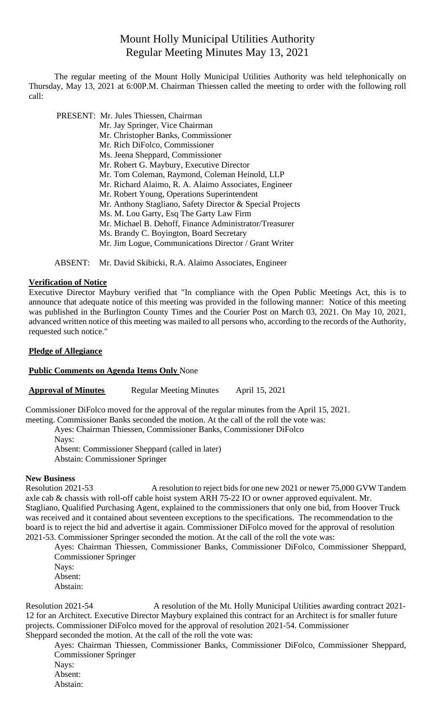# Mount Holly Municipal Utilities Authority Regular Meeting Minutes May 13, 2021

The regular meeting of the Mount Holly Municipal Utilities Authority was held telephonically on Thursday, May 13, 2021 at 6:00P.M. Chairman Thiessen called the meeting to order with the following roll call:

 PRESENT: Mr. Jules Thiessen, Chairman Mr. Jay Springer, Vice Chairman Mr. Christopher Banks, Commissioner Mr. Rich DiFolco, Commissioner Ms. Jeena Sheppard, Commissioner Mr. Robert G. Maybury, Executive Director Mr. Tom Coleman, Raymond, Coleman Heinold, LLP Mr. Richard Alaimo, R. A. Alaimo Associates, Engineer Mr. Robert Young, Operations Superintendent Mr. Anthony Stagliano, Safety Director & Special Projects Ms. M. Lou Garty, Esq The Garty Law Firm Mr. Michael B. Dehoff, Finance Administrator/Treasurer Ms. Brandy C. Boyington, Board Secretary Mr. Jim Logue, Communications Director / Grant Writer

ABSENT: Mr. David Skibicki, R.A. Alaimo Associates, Engineer

## **Verification of Notice**

Executive Director Maybury verified that "In compliance with the Open Public Meetings Act, this is to announce that adequate notice of this meeting was provided in the following manner: Notice of this meeting was published in the Burlington County Times and the Courier Post on March 03, 2021. On May 10, 2021, advanced written notice of this meeting was mailed to all persons who, according to the records of the Authority, requested such notice."

### **Pledge of Allegiance**

#### **Public Comments on Agenda Items Only** None

**Approval of Minutes** Regular Meeting Minutes April 15, 2021

Commissioner DiFolco moved for the approval of the regular minutes from the April 15, 2021.

meeting. Commissioner Banks seconded the motion. At the call of the roll the vote was:

Ayes: Chairman Thiessen, Commissioner Banks, Commissioner DiFolco

Nays:

Absent: Commissioner Sheppard (called in later) Abstain: Commissioner Springer

#### **New Business**

Resolution 2021-53 A resolution to reject bids for one new 2021 or newer 75,000 GVW Tandem axle cab & chassis with roll-off cable hoist system ARH 75-22 IO or owner approved equivalent. Mr. Stagliano, Qualified Purchasing Agent, explained to the commissioners that only one bid, from Hoover Truck was received and it contained about seventeen exceptions to the specifications. The recommendation to the board is to reject the bid and advertise it again. Commissioner DiFolco moved for the approval of resolution 2021-53. Commissioner Springer seconded the motion. At the call of the roll the vote was:

Ayes: Chairman Thiessen, Commissioner Banks, Commissioner DiFolco, Commissioner Sheppard, Commissioner Springer

Nays: Absent:

Abstain:

Resolution 2021-54 A resolution of the Mt. Holly Municipal Utilities awarding contract 2021- 12 for an Architect. Executive Director Maybury explained this contract for an Architect is for smaller future projects. Commissioner DiFolco moved for the approval of resolution 2021-54. Commissioner Sheppard seconded the motion. At the call of the roll the vote was:

Ayes: Chairman Thiessen, Commissioner Banks, Commissioner DiFolco, Commissioner Sheppard, Commissioner Springer

Nays:

Absent:

Abstain: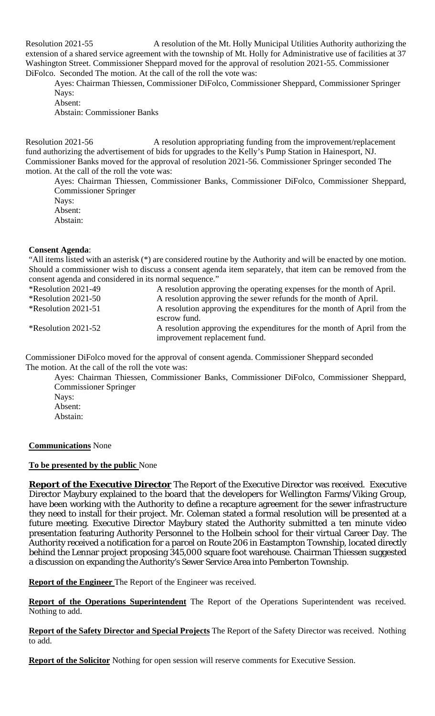Resolution 2021-55 A resolution of the Mt. Holly Municipal Utilities Authority authorizing the extension of a shared service agreement with the township of Mt. Holly for Administrative use of facilities at 37 Washington Street. Commissioner Sheppard moved for the approval of resolution 2021-55. Commissioner DiFolco. Seconded The motion. At the call of the roll the vote was:

Ayes: Chairman Thiessen, Commissioner DiFolco, Commissioner Sheppard, Commissioner Springer Nays:

Absent: Abstain: Commissioner Banks

Resolution 2021-56 A resolution appropriating funding from the improvement/replacement fund authorizing the advertisement of bids for upgrades to the Kelly's Pump Station in Hainesport, NJ. Commissioner Banks moved for the approval of resolution 2021-56. Commissioner Springer seconded The motion. At the call of the roll the vote was:

Ayes: Chairman Thiessen, Commissioner Banks, Commissioner DiFolco, Commissioner Sheppard, Commissioner Springer Nays:

Absent:

Abstain:

## **Consent Agenda**:

"All items listed with an asterisk (\*) are considered routine by the Authority and will be enacted by one motion. Should a commissioner wish to discuss a consent agenda item separately, that item can be removed from the consent agenda and considered in its normal sequence."

| <i><b>*Resolution 2021-49</b></i> | A resolution approving the operating expenses for the month of April.                                    |
|-----------------------------------|----------------------------------------------------------------------------------------------------------|
| $*$ Resolution 2021-50            | A resolution approving the sewer refunds for the month of April.                                         |
| *Resolution 2021-51               | A resolution approving the expenditures for the month of April from the<br>escrow fund.                  |
| <i>*</i> Resolution 2021-52       | A resolution approving the expenditures for the month of April from the<br>improvement replacement fund. |

Commissioner DiFolco moved for the approval of consent agenda. Commissioner Sheppard seconded The motion. At the call of the roll the vote was:

Ayes: Chairman Thiessen, Commissioner Banks, Commissioner DiFolco, Commissioner Sheppard, Commissioner Springer Nays: Absent: Abstain:

**Communications** None

## **To be presented by the public** None

**Report of the Executive Director** The Report of the Executive Director was received. Executive Director Maybury explained to the board that the developers for Wellington Farms/Viking Group, have been working with the Authority to define a recapture agreement for the sewer infrastructure they need to install for their project. Mr. Coleman stated a formal resolution will be presented at a future meeting. Executive Director Maybury stated the Authority submitted a ten minute video presentation featuring Authority Personnel to the Holbein school for their virtual Career Day. The Authority received a notification for a parcel on Route 206 in Eastampton Township, located directly behind the Lennar project proposing 345,000 square foot warehouse. Chairman Thiessen suggested a discussion on expanding the Authority's Sewer Service Area into Pemberton Township.

**Report of the Engineer** The Report of the Engineer was received.

**Report of the Operations Superintendent** The Report of the Operations Superintendent was received. Nothing to add.

**Report of the Safety Director and Special Projects** The Report of the Safety Director was received. Nothing to add.

**Report of the Solicitor** Nothing for open session will reserve comments for Executive Session.